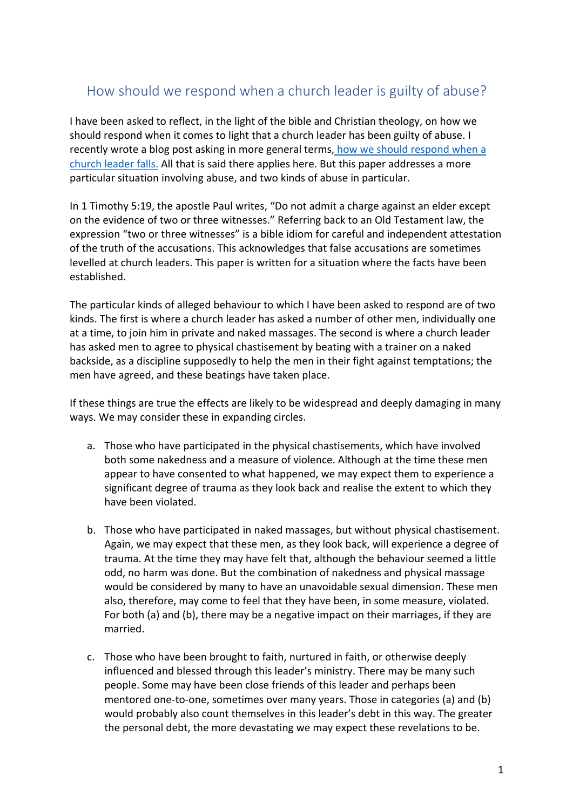# How should we respond when a church leader is guilty of abuse?

I have been asked to reflect, in the light of the bible and Christian theology, on how we should respond when it comes to light that a church leader has been guilty of abuse. I recently wrote a blog post asking in more general terms, how we should respond when a church leader falls. All that is said there applies here. But this paper addresses a more particular situation involving abuse, and two kinds of abuse in particular.

In 1 Timothy 5:19, the apostle Paul writes, "Do not admit a charge against an elder except on the evidence of two or three witnesses." Referring back to an Old Testament law, the expression "two or three witnesses" is a bible idiom for careful and independent attestation of the truth of the accusations. This acknowledges that false accusations are sometimes levelled at church leaders. This paper is written for a situation where the facts have been established.

The particular kinds of alleged behaviour to which I have been asked to respond are of two kinds. The first is where a church leader has asked a number of other men, individually one at a time, to join him in private and naked massages. The second is where a church leader has asked men to agree to physical chastisement by beating with a trainer on a naked backside, as a discipline supposedly to help the men in their fight against temptations; the men have agreed, and these beatings have taken place.

If these things are true the effects are likely to be widespread and deeply damaging in many ways. We may consider these in expanding circles.

- a. Those who have participated in the physical chastisements, which have involved both some nakedness and a measure of violence. Although at the time these men appear to have consented to what happened, we may expect them to experience a significant degree of trauma as they look back and realise the extent to which they have been violated.
- b. Those who have participated in naked massages, but without physical chastisement. Again, we may expect that these men, as they look back, will experience a degree of trauma. At the time they may have felt that, although the behaviour seemed a little odd, no harm was done. But the combination of nakedness and physical massage would be considered by many to have an unavoidable sexual dimension. These men also, therefore, may come to feel that they have been, in some measure, violated. For both (a) and (b), there may be a negative impact on their marriages, if they are married.
- c. Those who have been brought to faith, nurtured in faith, or otherwise deeply influenced and blessed through this leader's ministry. There may be many such people. Some may have been close friends of this leader and perhaps been mentored one-to-one, sometimes over many years. Those in categories (a) and (b) would probably also count themselves in this leader's debt in this way. The greater the personal debt, the more devastating we may expect these revelations to be.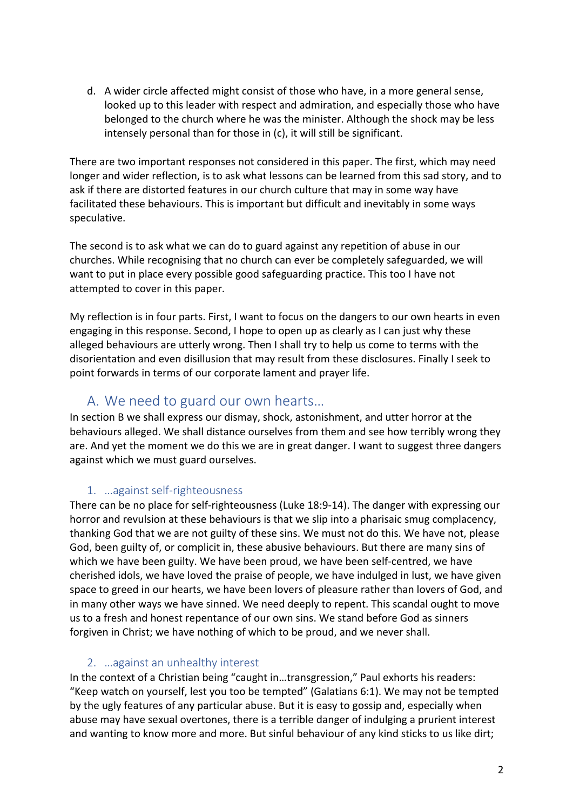d. A wider circle affected might consist of those who have, in a more general sense, looked up to this leader with respect and admiration, and especially those who have belonged to the church where he was the minister. Although the shock may be less intensely personal than for those in (c), it will still be significant.

There are two important responses not considered in this paper. The first, which may need longer and wider reflection, is to ask what lessons can be learned from this sad story, and to ask if there are distorted features in our church culture that may in some way have facilitated these behaviours. This is important but difficult and inevitably in some ways speculative.

The second is to ask what we can do to guard against any repetition of abuse in our churches. While recognising that no church can ever be completely safeguarded, we will want to put in place every possible good safeguarding practice. This too I have not attempted to cover in this paper.

My reflection is in four parts. First, I want to focus on the dangers to our own hearts in even engaging in this response. Second, I hope to open up as clearly as I can just why these alleged behaviours are utterly wrong. Then I shall try to help us come to terms with the disorientation and even disillusion that may result from these disclosures. Finally I seek to point forwards in terms of our corporate lament and prayer life.

## A. We need to guard our own hearts…

In section B we shall express our dismay, shock, astonishment, and utter horror at the behaviours alleged. We shall distance ourselves from them and see how terribly wrong they are. And yet the moment we do this we are in great danger. I want to suggest three dangers against which we must guard ourselves.

### 1. …against self-righteousness

There can be no place for self-righteousness (Luke 18:9-14). The danger with expressing our horror and revulsion at these behaviours is that we slip into a pharisaic smug complacency, thanking God that we are not guilty of these sins. We must not do this. We have not, please God, been guilty of, or complicit in, these abusive behaviours. But there are many sins of which we have been guilty. We have been proud, we have been self-centred, we have cherished idols, we have loved the praise of people, we have indulged in lust, we have given space to greed in our hearts, we have been lovers of pleasure rather than lovers of God, and in many other ways we have sinned. We need deeply to repent. This scandal ought to move us to a fresh and honest repentance of our own sins. We stand before God as sinners forgiven in Christ; we have nothing of which to be proud, and we never shall.

### 2. …against an unhealthy interest

In the context of a Christian being "caught in…transgression," Paul exhorts his readers: "Keep watch on yourself, lest you too be tempted" (Galatians 6:1). We may not be tempted by the ugly features of any particular abuse. But it is easy to gossip and, especially when abuse may have sexual overtones, there is a terrible danger of indulging a prurient interest and wanting to know more and more. But sinful behaviour of any kind sticks to us like dirt;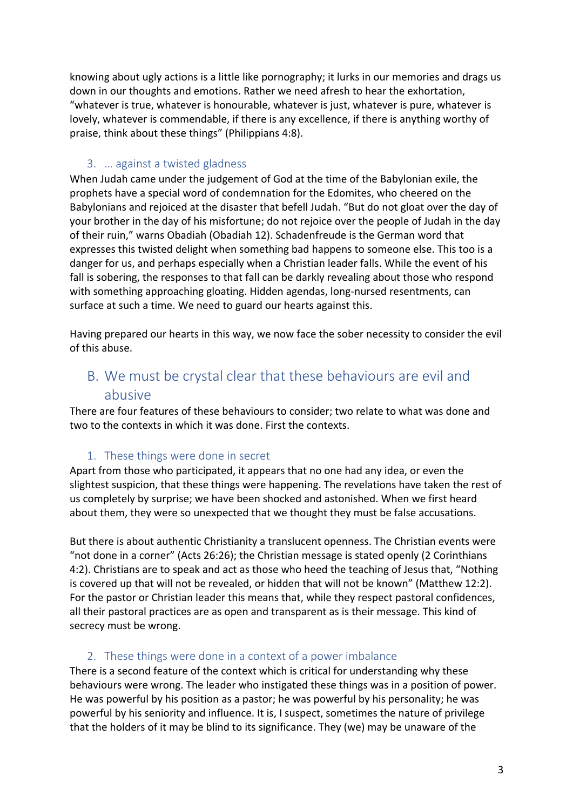knowing about ugly actions is a little like pornography; it lurks in our memories and drags us down in our thoughts and emotions. Rather we need afresh to hear the exhortation, "whatever is true, whatever is honourable, whatever is just, whatever is pure, whatever is lovely, whatever is commendable, if there is any excellence, if there is anything worthy of praise, think about these things" (Philippians 4:8).

#### 3. … against a twisted gladness

When Judah came under the judgement of God at the time of the Babylonian exile, the prophets have a special word of condemnation for the Edomites, who cheered on the Babylonians and rejoiced at the disaster that befell Judah. "But do not gloat over the day of your brother in the day of his misfortune; do not rejoice over the people of Judah in the day of their ruin," warns Obadiah (Obadiah 12). Schadenfreude is the German word that expresses this twisted delight when something bad happens to someone else. This too is a danger for us, and perhaps especially when a Christian leader falls. While the event of his fall is sobering, the responses to that fall can be darkly revealing about those who respond with something approaching gloating. Hidden agendas, long-nursed resentments, can surface at such a time. We need to guard our hearts against this.

Having prepared our hearts in this way, we now face the sober necessity to consider the evil of this abuse.

## B. We must be crystal clear that these behaviours are evil and abusive

There are four features of these behaviours to consider; two relate to what was done and two to the contexts in which it was done. First the contexts.

#### 1. These things were done in secret

Apart from those who participated, it appears that no one had any idea, or even the slightest suspicion, that these things were happening. The revelations have taken the rest of us completely by surprise; we have been shocked and astonished. When we first heard about them, they were so unexpected that we thought they must be false accusations.

But there is about authentic Christianity a translucent openness. The Christian events were "not done in a corner" (Acts 26:26); the Christian message is stated openly (2 Corinthians 4:2). Christians are to speak and act as those who heed the teaching of Jesus that, "Nothing is covered up that will not be revealed, or hidden that will not be known" (Matthew 12:2). For the pastor or Christian leader this means that, while they respect pastoral confidences, all their pastoral practices are as open and transparent as is their message. This kind of secrecy must be wrong.

#### 2. These things were done in a context of a power imbalance

There is a second feature of the context which is critical for understanding why these behaviours were wrong. The leader who instigated these things was in a position of power. He was powerful by his position as a pastor; he was powerful by his personality; he was powerful by his seniority and influence. It is, I suspect, sometimes the nature of privilege that the holders of it may be blind to its significance. They (we) may be unaware of the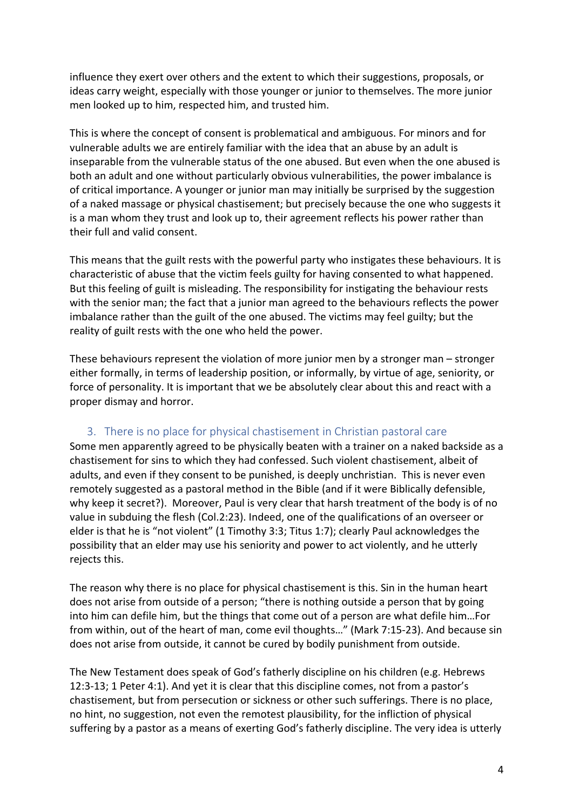influence they exert over others and the extent to which their suggestions, proposals, or ideas carry weight, especially with those younger or junior to themselves. The more junior men looked up to him, respected him, and trusted him.

This is where the concept of consent is problematical and ambiguous. For minors and for vulnerable adults we are entirely familiar with the idea that an abuse by an adult is inseparable from the vulnerable status of the one abused. But even when the one abused is both an adult and one without particularly obvious vulnerabilities, the power imbalance is of critical importance. A younger or junior man may initially be surprised by the suggestion of a naked massage or physical chastisement; but precisely because the one who suggests it is a man whom they trust and look up to, their agreement reflects his power rather than their full and valid consent.

This means that the guilt rests with the powerful party who instigates these behaviours. It is characteristic of abuse that the victim feels guilty for having consented to what happened. But this feeling of guilt is misleading. The responsibility for instigating the behaviour rests with the senior man; the fact that a junior man agreed to the behaviours reflects the power imbalance rather than the guilt of the one abused. The victims may feel guilty; but the reality of guilt rests with the one who held the power.

These behaviours represent the violation of more junior men by a stronger man – stronger either formally, in terms of leadership position, or informally, by virtue of age, seniority, or force of personality. It is important that we be absolutely clear about this and react with a proper dismay and horror.

#### 3. There is no place for physical chastisement in Christian pastoral care

Some men apparently agreed to be physically beaten with a trainer on a naked backside as a chastisement for sins to which they had confessed. Such violent chastisement, albeit of adults, and even if they consent to be punished, is deeply unchristian. This is never even remotely suggested as a pastoral method in the Bible (and if it were Biblically defensible, why keep it secret?). Moreover, Paul is very clear that harsh treatment of the body is of no value in subduing the flesh (Col.2:23). Indeed, one of the qualifications of an overseer or elder is that he is "not violent" (1 Timothy 3:3; Titus 1:7); clearly Paul acknowledges the possibility that an elder may use his seniority and power to act violently, and he utterly rejects this.

The reason why there is no place for physical chastisement is this. Sin in the human heart does not arise from outside of a person; "there is nothing outside a person that by going into him can defile him, but the things that come out of a person are what defile him…For from within, out of the heart of man, come evil thoughts…" (Mark 7:15-23). And because sin does not arise from outside, it cannot be cured by bodily punishment from outside.

The New Testament does speak of God's fatherly discipline on his children (e.g. Hebrews 12:3-13; 1 Peter 4:1). And yet it is clear that this discipline comes, not from a pastor's chastisement, but from persecution or sickness or other such sufferings. There is no place, no hint, no suggestion, not even the remotest plausibility, for the infliction of physical suffering by a pastor as a means of exerting God's fatherly discipline. The very idea is utterly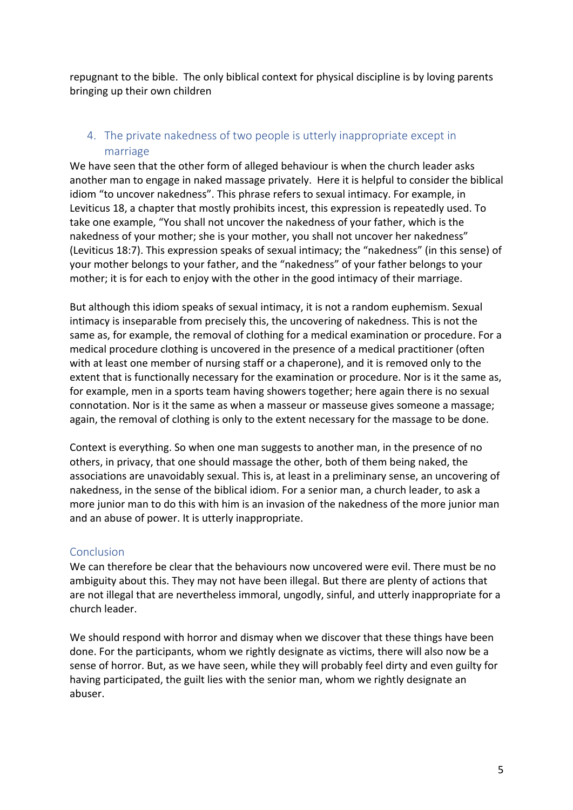repugnant to the bible. The only biblical context for physical discipline is by loving parents bringing up their own children

### 4. The private nakedness of two people is utterly inappropriate except in marriage

We have seen that the other form of alleged behaviour is when the church leader asks another man to engage in naked massage privately. Here it is helpful to consider the biblical idiom "to uncover nakedness". This phrase refers to sexual intimacy. For example, in Leviticus 18, a chapter that mostly prohibits incest, this expression is repeatedly used. To take one example, "You shall not uncover the nakedness of your father, which is the nakedness of your mother; she is your mother, you shall not uncover her nakedness" (Leviticus 18:7). This expression speaks of sexual intimacy; the "nakedness" (in this sense) of your mother belongs to your father, and the "nakedness" of your father belongs to your mother; it is for each to enjoy with the other in the good intimacy of their marriage.

But although this idiom speaks of sexual intimacy, it is not a random euphemism. Sexual intimacy is inseparable from precisely this, the uncovering of nakedness. This is not the same as, for example, the removal of clothing for a medical examination or procedure. For a medical procedure clothing is uncovered in the presence of a medical practitioner (often with at least one member of nursing staff or a chaperone), and it is removed only to the extent that is functionally necessary for the examination or procedure. Nor is it the same as, for example, men in a sports team having showers together; here again there is no sexual connotation. Nor is it the same as when a masseur or masseuse gives someone a massage; again, the removal of clothing is only to the extent necessary for the massage to be done.

Context is everything. So when one man suggests to another man, in the presence of no others, in privacy, that one should massage the other, both of them being naked, the associations are unavoidably sexual. This is, at least in a preliminary sense, an uncovering of nakedness, in the sense of the biblical idiom. For a senior man, a church leader, to ask a more junior man to do this with him is an invasion of the nakedness of the more junior man and an abuse of power. It is utterly inappropriate.

#### Conclusion

We can therefore be clear that the behaviours now uncovered were evil. There must be no ambiguity about this. They may not have been illegal. But there are plenty of actions that are not illegal that are nevertheless immoral, ungodly, sinful, and utterly inappropriate for a church leader.

We should respond with horror and dismay when we discover that these things have been done. For the participants, whom we rightly designate as victims, there will also now be a sense of horror. But, as we have seen, while they will probably feel dirty and even guilty for having participated, the guilt lies with the senior man, whom we rightly designate an abuser.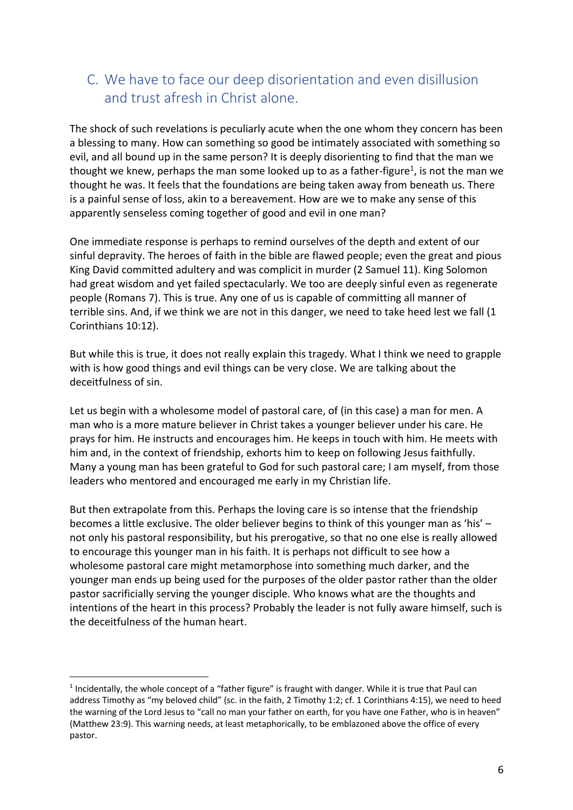# C. We have to face our deep disorientation and even disillusion and trust afresh in Christ alone.

The shock of such revelations is peculiarly acute when the one whom they concern has been a blessing to many. How can something so good be intimately associated with something so evil, and all bound up in the same person? It is deeply disorienting to find that the man we thought we knew, perhaps the man some looked up to as a father-figure<sup>1</sup>, is not the man we thought he was. It feels that the foundations are being taken away from beneath us. There is a painful sense of loss, akin to a bereavement. How are we to make any sense of this apparently senseless coming together of good and evil in one man?

One immediate response is perhaps to remind ourselves of the depth and extent of our sinful depravity. The heroes of faith in the bible are flawed people; even the great and pious King David committed adultery and was complicit in murder (2 Samuel 11). King Solomon had great wisdom and yet failed spectacularly. We too are deeply sinful even as regenerate people (Romans 7). This is true. Any one of us is capable of committing all manner of terrible sins. And, if we think we are not in this danger, we need to take heed lest we fall (1 Corinthians 10:12).

But while this is true, it does not really explain this tragedy. What I think we need to grapple with is how good things and evil things can be very close. We are talking about the deceitfulness of sin.

Let us begin with a wholesome model of pastoral care, of (in this case) a man for men. A man who is a more mature believer in Christ takes a younger believer under his care. He prays for him. He instructs and encourages him. He keeps in touch with him. He meets with him and, in the context of friendship, exhorts him to keep on following Jesus faithfully. Many a young man has been grateful to God for such pastoral care; I am myself, from those leaders who mentored and encouraged me early in my Christian life.

But then extrapolate from this. Perhaps the loving care is so intense that the friendship becomes a little exclusive. The older believer begins to think of this younger man as 'his' – not only his pastoral responsibility, but his prerogative, so that no one else is really allowed to encourage this younger man in his faith. It is perhaps not difficult to see how a wholesome pastoral care might metamorphose into something much darker, and the younger man ends up being used for the purposes of the older pastor rather than the older pastor sacrificially serving the younger disciple. Who knows what are the thoughts and intentions of the heart in this process? Probably the leader is not fully aware himself, such is the deceitfulness of the human heart.

 $1$  Incidentally, the whole concept of a "father figure" is fraught with danger. While it is true that Paul can address Timothy as "my beloved child" (sc. in the faith, 2 Timothy 1:2; cf. 1 Corinthians 4:15), we need to heed the warning of the Lord Jesus to "call no man your father on earth, for you have one Father, who is in heaven" (Matthew 23:9). This warning needs, at least metaphorically, to be emblazoned above the office of every pastor.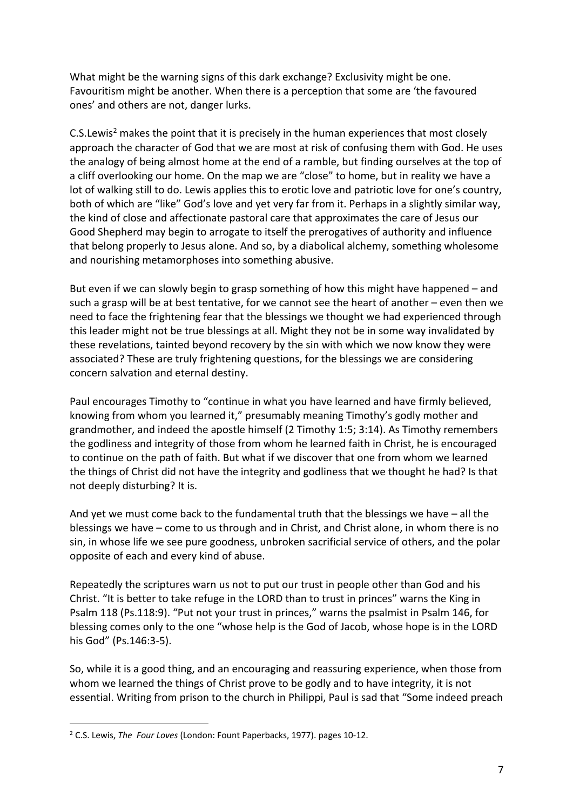What might be the warning signs of this dark exchange? Exclusivity might be one. Favouritism might be another. When there is a perception that some are 'the favoured ones' and others are not, danger lurks.

 $C.S.Lewis<sup>2</sup>$  makes the point that it is precisely in the human experiences that most closely approach the character of God that we are most at risk of confusing them with God. He uses the analogy of being almost home at the end of a ramble, but finding ourselves at the top of a cliff overlooking our home. On the map we are "close" to home, but in reality we have a lot of walking still to do. Lewis applies this to erotic love and patriotic love for one's country, both of which are "like" God's love and yet very far from it. Perhaps in a slightly similar way, the kind of close and affectionate pastoral care that approximates the care of Jesus our Good Shepherd may begin to arrogate to itself the prerogatives of authority and influence that belong properly to Jesus alone. And so, by a diabolical alchemy, something wholesome and nourishing metamorphoses into something abusive.

But even if we can slowly begin to grasp something of how this might have happened – and such a grasp will be at best tentative, for we cannot see the heart of another – even then we need to face the frightening fear that the blessings we thought we had experienced through this leader might not be true blessings at all. Might they not be in some way invalidated by these revelations, tainted beyond recovery by the sin with which we now know they were associated? These are truly frightening questions, for the blessings we are considering concern salvation and eternal destiny.

Paul encourages Timothy to "continue in what you have learned and have firmly believed, knowing from whom you learned it," presumably meaning Timothy's godly mother and grandmother, and indeed the apostle himself (2 Timothy 1:5; 3:14). As Timothy remembers the godliness and integrity of those from whom he learned faith in Christ, he is encouraged to continue on the path of faith. But what if we discover that one from whom we learned the things of Christ did not have the integrity and godliness that we thought he had? Is that not deeply disturbing? It is.

And yet we must come back to the fundamental truth that the blessings we have – all the blessings we have – come to us through and in Christ, and Christ alone, in whom there is no sin, in whose life we see pure goodness, unbroken sacrificial service of others, and the polar opposite of each and every kind of abuse.

Repeatedly the scriptures warn us not to put our trust in people other than God and his Christ. "It is better to take refuge in the LORD than to trust in princes" warns the King in Psalm 118 (Ps.118:9). "Put not your trust in princes," warns the psalmist in Psalm 146, for blessing comes only to the one "whose help is the God of Jacob, whose hope is in the LORD his God" (Ps.146:3-5).

So, while it is a good thing, and an encouraging and reassuring experience, when those from whom we learned the things of Christ prove to be godly and to have integrity, it is not essential. Writing from prison to the church in Philippi, Paul is sad that "Some indeed preach

<sup>2</sup> C.S. Lewis, *The Four Loves* (London: Fount Paperbacks, 1977). pages 10-12.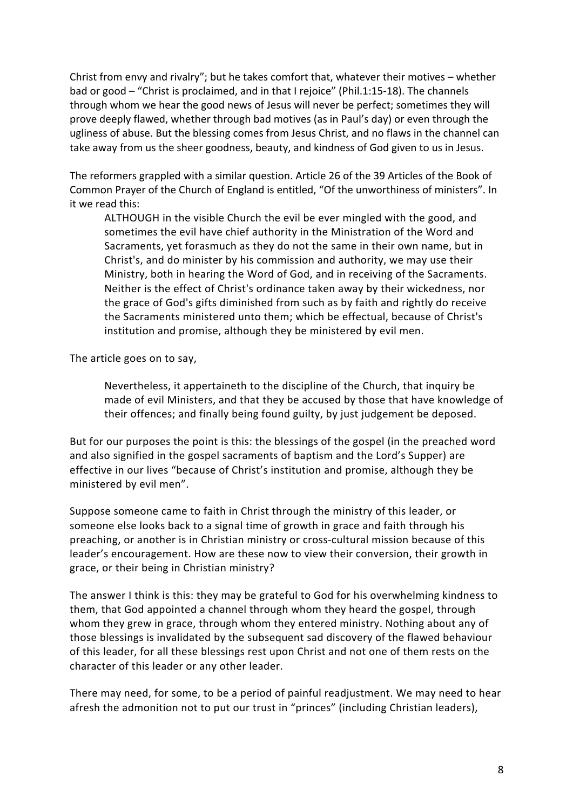Christ from envy and rivalry"; but he takes comfort that, whatever their motives – whether bad or good – "Christ is proclaimed, and in that I rejoice" (Phil.1:15-18). The channels through whom we hear the good news of Jesus will never be perfect; sometimes they will prove deeply flawed, whether through bad motives (as in Paul's day) or even through the ugliness of abuse. But the blessing comes from Jesus Christ, and no flaws in the channel can take away from us the sheer goodness, beauty, and kindness of God given to us in Jesus.

The reformers grappled with a similar question. Article 26 of the 39 Articles of the Book of Common Prayer of the Church of England is entitled, "Of the unworthiness of ministers". In it we read this:

ALTHOUGH in the visible Church the evil be ever mingled with the good, and sometimes the evil have chief authority in the Ministration of the Word and Sacraments, yet forasmuch as they do not the same in their own name, but in Christ's, and do minister by his commission and authority, we may use their Ministry, both in hearing the Word of God, and in receiving of the Sacraments. Neither is the effect of Christ's ordinance taken away by their wickedness, nor the grace of God's gifts diminished from such as by faith and rightly do receive the Sacraments ministered unto them; which be effectual, because of Christ's institution and promise, although they be ministered by evil men.

The article goes on to say,

Nevertheless, it appertaineth to the discipline of the Church, that inquiry be made of evil Ministers, and that they be accused by those that have knowledge of their offences; and finally being found guilty, by just judgement be deposed.

But for our purposes the point is this: the blessings of the gospel (in the preached word and also signified in the gospel sacraments of baptism and the Lord's Supper) are effective in our lives "because of Christ's institution and promise, although they be ministered by evil men".

Suppose someone came to faith in Christ through the ministry of this leader, or someone else looks back to a signal time of growth in grace and faith through his preaching, or another is in Christian ministry or cross-cultural mission because of this leader's encouragement. How are these now to view their conversion, their growth in grace, or their being in Christian ministry?

The answer I think is this: they may be grateful to God for his overwhelming kindness to them, that God appointed a channel through whom they heard the gospel, through whom they grew in grace, through whom they entered ministry. Nothing about any of those blessings is invalidated by the subsequent sad discovery of the flawed behaviour of this leader, for all these blessings rest upon Christ and not one of them rests on the character of this leader or any other leader.

There may need, for some, to be a period of painful readjustment. We may need to hear afresh the admonition not to put our trust in "princes" (including Christian leaders),